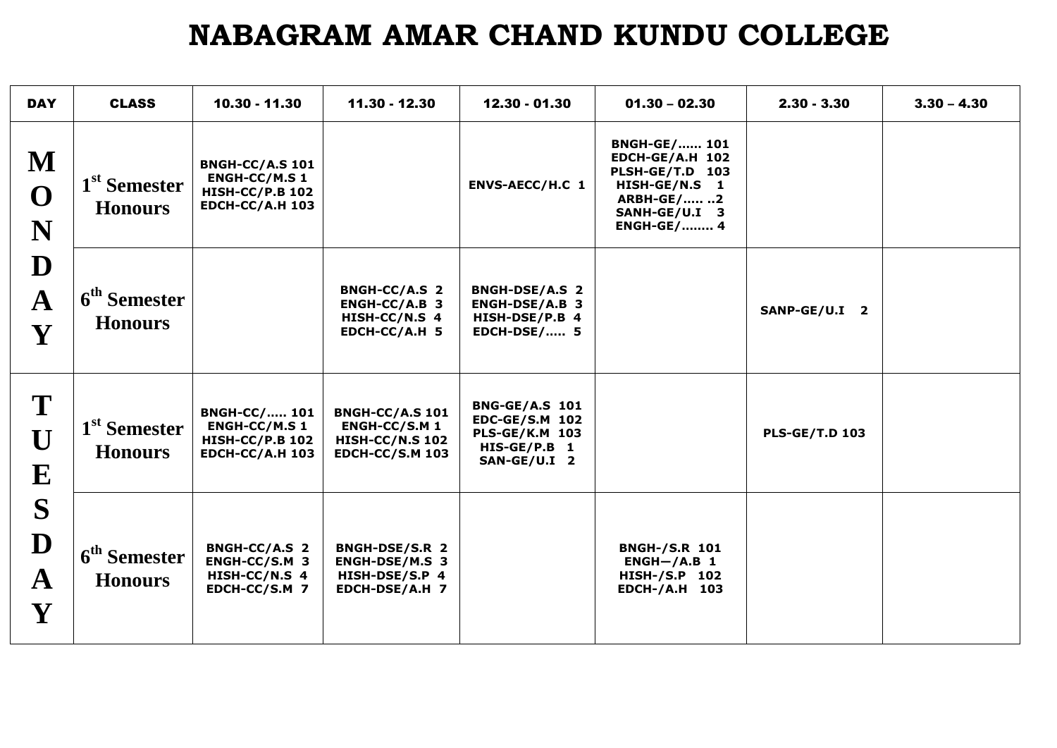## **NABAGRAM AMAR CHAND KUNDU COLLEGE**

| <b>DAY</b>                           | <b>CLASS</b>                               | 10.30 - 11.30                                                                                      | 11.30 - 12.30                                                                                      | 12.30 - 01.30                                                                                           | $01.30 - 02.30$                                                                                                                       | $2.30 - 3.30$         | $3.30 - 4.30$ |
|--------------------------------------|--------------------------------------------|----------------------------------------------------------------------------------------------------|----------------------------------------------------------------------------------------------------|---------------------------------------------------------------------------------------------------------|---------------------------------------------------------------------------------------------------------------------------------------|-----------------------|---------------|
| M<br>$\mathbf{O}$<br>N               | 1 <sup>st</sup> Semester<br><b>Honours</b> | <b>BNGH-CC/A.S 101</b><br><b>ENGH-CC/M.S 1</b><br><b>HISH-CC/P.B 102</b><br><b>EDCH-CC/A.H 103</b> |                                                                                                    | ENVS-AECC/H.C 1                                                                                         | <b>BNGH-GE/ 101</b><br>EDCH-GE/A.H 102<br>PLSH-GE/T.D 103<br>HISH-GE/N.S 1<br><b>ARBH-GE/ 2</b><br>SANH-GE/U.I 3<br><b>ENGH-GE/ 4</b> |                       |               |
| D<br>$\mathbf A$<br>Y                | 6 <sup>th</sup> Semester<br><b>Honours</b> |                                                                                                    | <b>BNGH-CC/A.S 2</b><br>$ENGH-CC/A.B$ 3<br>HISH-CC/N.S 4<br>EDCH-CC/A.H 5                          | <b>BNGH-DSE/A.S 2</b><br>ENGH-DSE/A.B 3<br>HISH-DSE/P.B 4<br><b>EDCH-DSE/ 5</b>                         |                                                                                                                                       | SANP-GE/U.I 2         |               |
| T<br>U<br>${\bf E}$                  | 1 <sup>st</sup> Semester<br><b>Honours</b> | <b>BNGH-CC/ 101</b><br><b>ENGH-CC/M.S 1</b><br><b>HISH-CC/P.B 102</b><br><b>EDCH-CC/A.H 103</b>    | <b>BNGH-CC/A.S 101</b><br><b>ENGH-CC/S.M 1</b><br><b>HISH-CC/N.S 102</b><br><b>EDCH-CC/S.M 103</b> | <b>BNG-GE/A.S 101</b><br><b>EDC-GE/S.M 102</b><br><b>PLS-GE/K.M 103</b><br>HIS-GE/P.B 1<br>SAN-GE/U.I 2 |                                                                                                                                       | <b>PLS-GE/T.D 103</b> |               |
| S<br>D<br>$\mathbf A$<br>$\mathbf Y$ | 6 <sup>th</sup> Semester<br><b>Honours</b> | <b>BNGH-CC/A.S 2</b><br>ENGH-CC/S.M 3<br>HISH-CC/N.S 4<br>EDCH-CC/S.M 7                            | <b>BNGH-DSE/S.R 2</b><br>ENGH-DSE/M.S 3<br>HISH-DSE/S.P 4<br>EDCH-DSE/A.H 7                        |                                                                                                         | <b>BNGH-/S.R 101</b><br>$ENGH-/A.B$ 1<br><b>HISH-/S.P 102</b><br><b>EDCH-/A.H 103</b>                                                 |                       |               |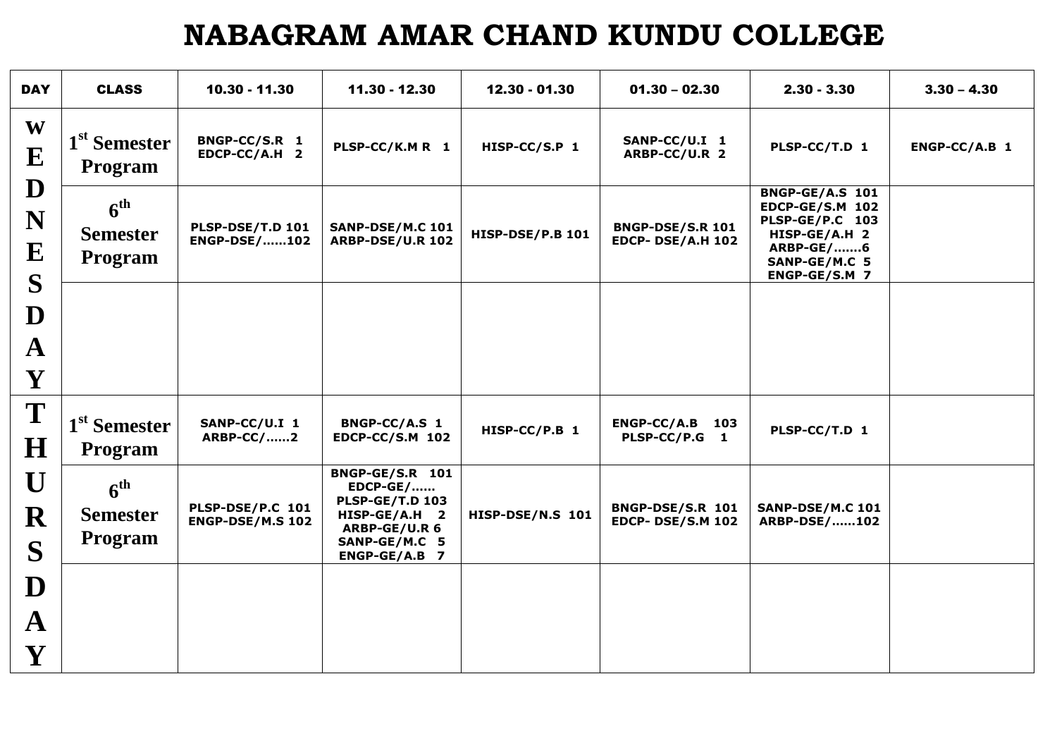## **NABAGRAM AMAR CHAND KUNDU COLLEGE**

| <b>DAY</b>                                   | <b>CLASS</b>                                         | 10.30 - 11.30                               | 11.30 - 12.30                                                                                                                           | 12.30 - 01.30           | $01.30 - 02.30$                                     | $2.30 - 3.30$                                                                                                                       | $3.30 - 4.30$ |
|----------------------------------------------|------------------------------------------------------|---------------------------------------------|-----------------------------------------------------------------------------------------------------------------------------------------|-------------------------|-----------------------------------------------------|-------------------------------------------------------------------------------------------------------------------------------------|---------------|
| W<br>${\bf E}$                               | 1 <sup>st</sup> Semester<br>Program                  | BNGP-CC/S.R 1<br>EDCP-CC/A.H 2              | PLSP-CC/K.M R 1                                                                                                                         | HISP-CC/S.P 1           | SANP-CC/U.I 1<br>ARBP-CC/U.R 2                      | PLSP-CC/T.D 1                                                                                                                       | ENGP-CC/A.B 1 |
| D<br>N<br>${\bf E}$                          | 6 <sup>th</sup><br><b>Semester</b><br><b>Program</b> | PLSP-DSE/T.D 101<br><b>ENGP-DSE/102</b>     | SANP-DSE/M.C 101<br><b>ARBP-DSE/U.R 102</b>                                                                                             | <b>HISP-DSE/P.B 101</b> | <b>BNGP-DSE/S.R 101</b><br><b>EDCP- DSE/A.H 102</b> | <b>BNGP-GE/A.S 101</b><br><b>EDCP-GE/S.M 102</b><br>PLSP-GE/P.C 103<br>HISP-GE/A.H 2<br>ARBP-GE/6<br>SANP-GE/M.C 5<br>ENGP-GE/S.M 7 |               |
| S<br>D<br>$\mathbf{A}$<br>Y                  |                                                      |                                             |                                                                                                                                         |                         |                                                     |                                                                                                                                     |               |
| T<br>$\bf H$                                 | 1 <sup>st</sup> Semester<br>Program                  | SANP-CC/U.I 1<br><b>ARBP-CC/2</b>           | BNGP-CC/A.S 1<br><b>EDCP-CC/S.M 102</b>                                                                                                 | HISP-CC/P.B 1           | $ENGP-CC/A.B$ 103<br>PLSP-CC/P.G 1                  | PLSP-CC/T.D 1                                                                                                                       |               |
| U<br>R<br>S                                  | 6 <sup>th</sup><br><b>Semester</b><br><b>Program</b> | PLSP-DSE/P.C 101<br><b>ENGP-DSE/M.S 102</b> | <b>BNGP-GE/S.R 101</b><br><b>EDCP-GE/</b><br><b>PLSP-GE/T.D 103</b><br>HISP-GE/A.H 2<br>ARBP-GE/U.R 6<br>SANP-GE/M.C 5<br>ENGP-GE/A.B 7 | HISP-DSE/N.S 101        | BNGP-DSE/S.R 101<br><b>EDCP- DSE/S.M 102</b>        | <b>SANP-DSE/M.C 101</b><br><b>ARBP-DSE/102</b>                                                                                      |               |
| D<br>$\mathbf{A}$<br>$\overline{\mathbf{Y}}$ |                                                      |                                             |                                                                                                                                         |                         |                                                     |                                                                                                                                     |               |